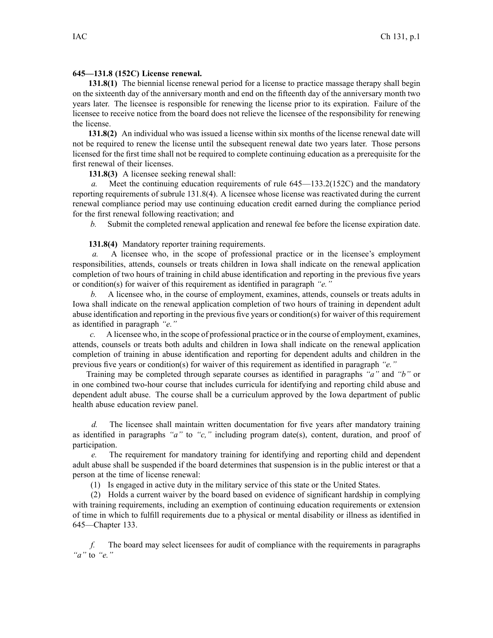## **645—131.8 (152C) License renewal.**

**131.8(1)** The biennial license renewal period for <sup>a</sup> license to practice massage therapy shall begin on the sixteenth day of the anniversary month and end on the fifteenth day of the anniversary month two years later. The licensee is responsible for renewing the license prior to its expiration. Failure of the licensee to receive notice from the board does not relieve the licensee of the responsibility for renewing the license.

**131.8(2)** An individual who was issued <sup>a</sup> license within six months of the license renewal date will not be required to renew the license until the subsequent renewal date two years later. Those persons licensed for the first time shall not be required to complete continuing education as <sup>a</sup> prerequisite for the first renewal of their licenses.

**131.8(3)** A licensee seeking renewal shall:

*a.* Meet the continuing education requirements of rule [645—133.2\(152C\)](https://www.legis.iowa.gov/docs/iac/rule/645.133.2.pdf) and the mandatory reporting requirements of subrule [131.8\(4\)](https://www.legis.iowa.gov/docs/iac/rule/645.131.8.pdf). A licensee whose license was reactivated during the current renewal compliance period may use continuing education credit earned during the compliance period for the first renewal following reactivation; and

*b.* Submit the completed renewal application and renewal fee before the license expiration date.

**131.8(4)** Mandatory reporter training requirements.

*a.* A licensee who, in the scope of professional practice or in the licensee's employment responsibilities, attends, counsels or treats children in Iowa shall indicate on the renewal application completion of two hours of training in child abuse identification and reporting in the previous five years or condition(s) for waiver of this requirement as identified in paragraph *"e."*

*b.* A licensee who, in the course of employment, examines, attends, counsels or treats adults in Iowa shall indicate on the renewal application completion of two hours of training in dependent adult abuse identification and reporting in the previous five years or condition(s) for waiver of thisrequirement as identified in paragraph *"e."*

*c.* A licensee who, in the scope of professional practice or in the course of employment, examines, attends, counsels or treats both adults and children in Iowa shall indicate on the renewal application completion of training in abuse identification and reporting for dependent adults and children in the previous five years or condition(s) for waiver of this requirement as identified in paragraph *"e."*

Training may be completed through separate courses as identified in paragraphs *"a"* and *"b"* or in one combined two-hour course that includes curricula for identifying and reporting child abuse and dependent adult abuse. The course shall be <sup>a</sup> curriculum approved by the Iowa department of public health abuse education review panel.

*d.* The licensee shall maintain written documentation for five years after mandatory training as identified in paragraphs *"a"* to *"c,"* including program date(s), content, duration, and proof of participation.

*e.* The requirement for mandatory training for identifying and reporting child and dependent adult abuse shall be suspended if the board determines that suspension is in the public interest or that <sup>a</sup> person at the time of license renewal:

(1) Is engaged in active duty in the military service of this state or the United States.

(2) Holds <sup>a</sup> current waiver by the board based on evidence of significant hardship in complying with training requirements, including an exemption of continuing education requirements or extension of time in which to fulfill requirements due to <sup>a</sup> physical or mental disability or illness as identified in [645—Chapter](https://www.legis.iowa.gov/docs/iac/chapter/645.133.pdf) 133.

*f.* The board may select licensees for audit of compliance with the requirements in paragraphs *"a"* to *"e."*